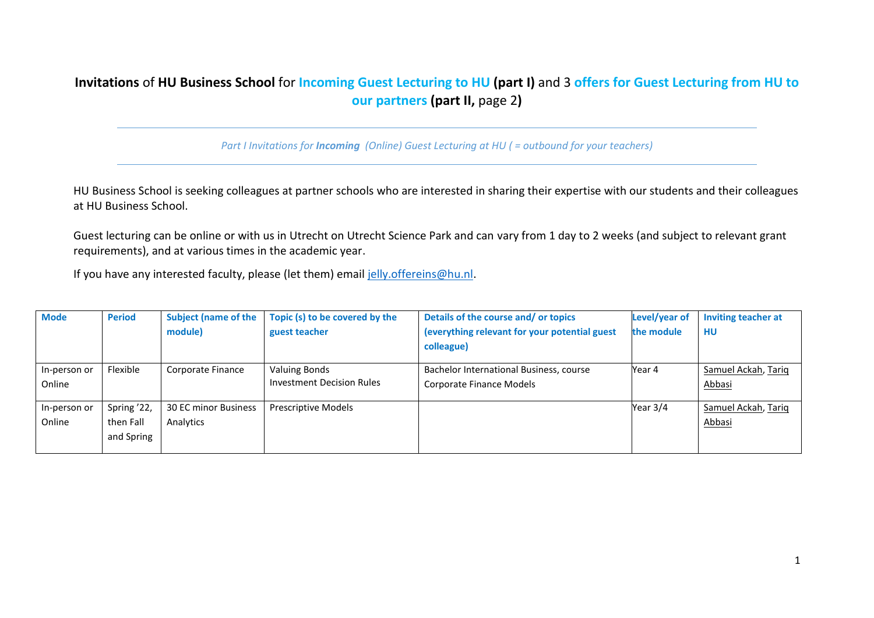# **Invitations** of **HU Business School** for **Incoming Guest Lecturing to HU (part I)** and 3 **offers for Guest Lecturing from HU to our partners (part II,** page 2**)**

*Part I Invitations for Incoming (Online) Guest Lecturing at HU ( = outbound for your teachers)*

HU Business School is seeking colleagues at partner schools who are interested in sharing their expertise with our students and their colleagues at HU Business School.

Guest lecturing can be online or with us in Utrecht on Utrecht Science Park and can vary from 1 day to 2 weeks (and subject to relevant grant requirements), and at various times in the academic year.

If you have any interested faculty, please (let them) email [jelly.offereins@hu.nl.](mailto:jelly.offereins@hu.nl)

| <b>Mode</b>  | <b>Period</b> | <b>Subject (name of the</b> | Topic (s) to be covered by the   | Details of the course and/or topics           | Level/year of | Inviting teacher at |
|--------------|---------------|-----------------------------|----------------------------------|-----------------------------------------------|---------------|---------------------|
|              |               | module)                     | guest teacher                    | (everything relevant for your potential guest | the module    | HU                  |
|              |               |                             |                                  | colleague)                                    |               |                     |
| In-person or | Flexible      | Corporate Finance           | <b>Valuing Bonds</b>             | Bachelor International Business, course       | Year 4        | Samuel Ackah, Tarig |
| Online       |               |                             | <b>Investment Decision Rules</b> | Corporate Finance Models                      |               | Abbasi              |
| In-person or | Spring '22,   | <b>30 EC minor Business</b> | <b>Prescriptive Models</b>       |                                               | Year 3/4      | Samuel Ackah, Tariq |
| Online       | then Fall     | Analytics                   |                                  |                                               |               | <u>Abbasi</u>       |
|              | and Spring    |                             |                                  |                                               |               |                     |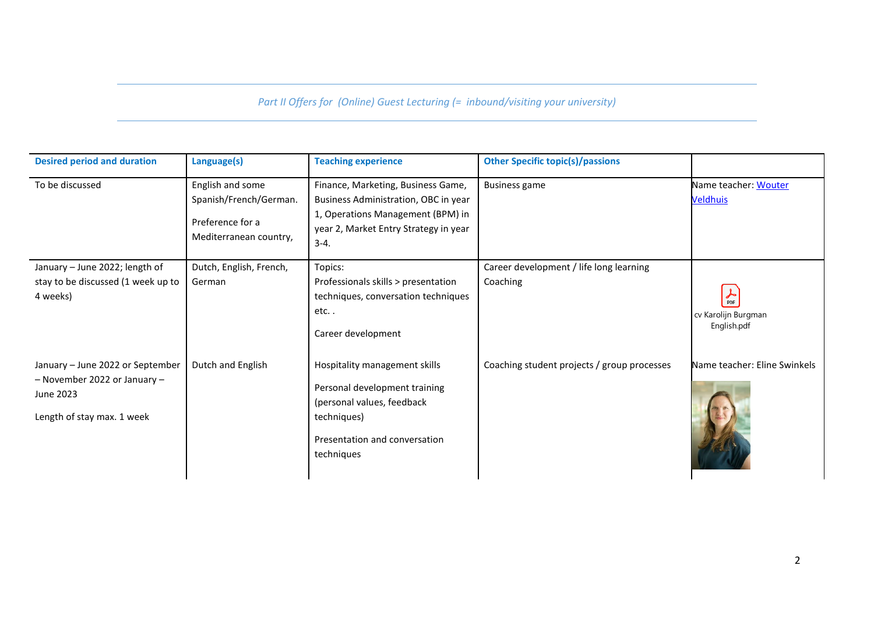### *Part II Offers for (Online) Guest Lecturing (= inbound/visiting your university)*

| <b>Desired period and duration</b>                                                                            | Language(s)                                                                              | <b>Teaching experience</b>                                                                                                                                           | <b>Other Specific topic(s)/passions</b>             |                                                              |
|---------------------------------------------------------------------------------------------------------------|------------------------------------------------------------------------------------------|----------------------------------------------------------------------------------------------------------------------------------------------------------------------|-----------------------------------------------------|--------------------------------------------------------------|
| To be discussed                                                                                               | English and some<br>Spanish/French/German.<br>Preference for a<br>Mediterranean country, | Finance, Marketing, Business Game,<br>Business Administration, OBC in year<br>1, Operations Management (BPM) in<br>year 2, Market Entry Strategy in year<br>$3 - 4.$ | <b>Business game</b>                                | Name teacher: Wouter<br><b>Veldhuis</b>                      |
| January - June 2022; length of<br>stay to be discussed (1 week up to<br>4 weeks)                              | Dutch, English, French,<br>German                                                        | Topics:<br>Professionals skills > presentation<br>techniques, conversation techniques<br>$etc.$ .<br>Career development                                              | Career development / life long learning<br>Coaching | $\frac{1}{\text{PDF}}$<br>cv Karolijn Burgman<br>English.pdf |
| January - June 2022 or September<br>- November 2022 or January $-$<br>June 2023<br>Length of stay max. 1 week | Dutch and English                                                                        | Hospitality management skills<br>Personal development training<br>(personal values, feedback<br>techniques)<br>Presentation and conversation<br>techniques           | Coaching student projects / group processes         | Name teacher: Eline Swinkels                                 |